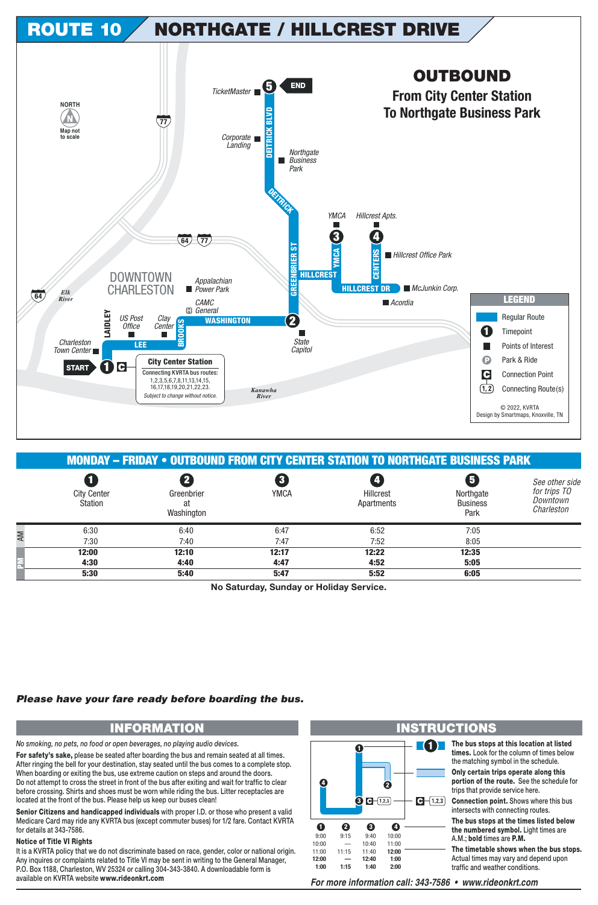

|    |                               |                                |                             | MONDAY – FRIDAY • OUTBOUND FROM CITY CENTER STATION TO NORTHGATE BUSINESS PARK |                                                                 |                                                          |
|----|-------------------------------|--------------------------------|-----------------------------|--------------------------------------------------------------------------------|-----------------------------------------------------------------|----------------------------------------------------------|
|    | <b>City Center</b><br>Station | Greenbrier<br>at<br>Washington | $\mathbf{3}$<br><b>YMCA</b> | Hillcrest<br>Apartments                                                        | $\overline{\mathbf{5}}$<br>Northgate<br><b>Business</b><br>Park | See other side<br>for trips TO<br>Downtown<br>Charleston |
| AM | 6:30                          | 6:40                           | 6:47                        | 6:52                                                                           | 7:05                                                            |                                                          |
|    | 7:30                          | 7:40                           | 7:47                        | 7:52                                                                           | 8:05                                                            |                                                          |
|    | 12:00                         | 12:10                          | 12:17                       | 12:22                                                                          | 12:35                                                           |                                                          |
| 롩  | 4:30                          | 4:40                           | 4:47                        | 4:52                                                                           | 5:05                                                            |                                                          |
|    | 5:30                          | 5:40                           | 5:47                        | 5:52                                                                           | 6:05                                                            |                                                          |

**No Saturday, Sunday or Holiday Service.**

## *Please have your fare ready before boarding the bus.*

*No smoking, no pets, no food or open beverages, no playing audio devices.*

**For safety's sake,** please be seated after boarding the bus and remain seated at all times. After ringing the bell for your destination, stay seated until the bus comes to a complete stop. When boarding or exiting the bus, use extreme caution on steps and around the doors. Do not attempt to cross the street in front of the bus after exiting and wait for traffic to clear before crossing. Shirts and shoes must be worn while riding the bus. Litter receptacles are located at the front of the bus. Please help us keep our buses clean!

**Senior Citizens and handicapped individuals** with proper I.D. or those who present a valid Medicare Card may ride any KVRTA bus (except commuter buses) for 1/2 fare. Contact KVRTA for details at 343-7586.

## **Notice of Title VI Rights**

It is a KVRTA policy that we do not discriminate based on race, gender, color or national origin. Any inquires or complaints related to Title VI may be sent in writing to the General Manager, P.O. Box 1188, Charleston, WV 25324 or calling 304-343-3840. A downloadable form is available on KVRTA website www.rideonkrt.com *For more information call: 343-7586 • www.rideonkrt.com*